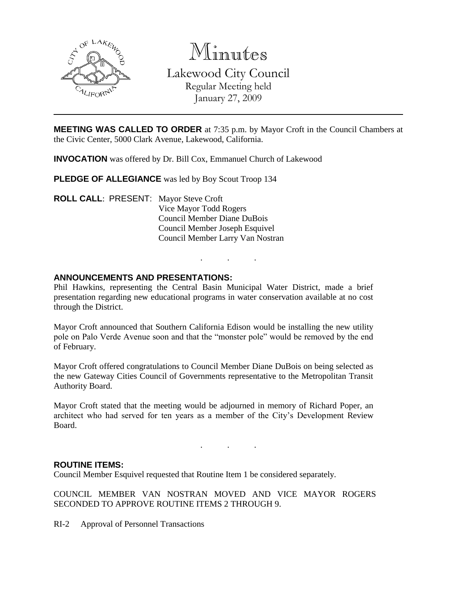

Minutes

Lakewood City Council Regular Meeting held January 27, 2009

**MEETING WAS CALLED TO ORDER** at 7:35 p.m. by Mayor Croft in the Council Chambers at the Civic Center, 5000 Clark Avenue, Lakewood, California.

**INVOCATION** was offered by Dr. Bill Cox, Emmanuel Church of Lakewood

**PLEDGE OF ALLEGIANCE** was led by Boy Scout Troop 134

**ROLL CALL**: PRESENT: Mayor Steve Croft Vice Mayor Todd Rogers Council Member Diane DuBois Council Member Joseph Esquivel Council Member Larry Van Nostran

## **ANNOUNCEMENTS AND PRESENTATIONS:**

Phil Hawkins, representing the Central Basin Municipal Water District, made a brief presentation regarding new educational programs in water conservation available at no cost through the District.

. . .

Mayor Croft announced that Southern California Edison would be installing the new utility pole on Palo Verde Avenue soon and that the "monster pole" would be removed by the end of February.

Mayor Croft offered congratulations to Council Member Diane DuBois on being selected as the new Gateway Cities Council of Governments representative to the Metropolitan Transit Authority Board.

Mayor Croft stated that the meeting would be adjourned in memory of Richard Poper, an architect who had served for ten years as a member of the City's Development Review Board.

. . .

#### **ROUTINE ITEMS:**

Council Member Esquivel requested that Routine Item 1 be considered separately.

COUNCIL MEMBER VAN NOSTRAN MOVED AND VICE MAYOR ROGERS SECONDED TO APPROVE ROUTINE ITEMS 2 THROUGH 9.

RI-2 Approval of Personnel Transactions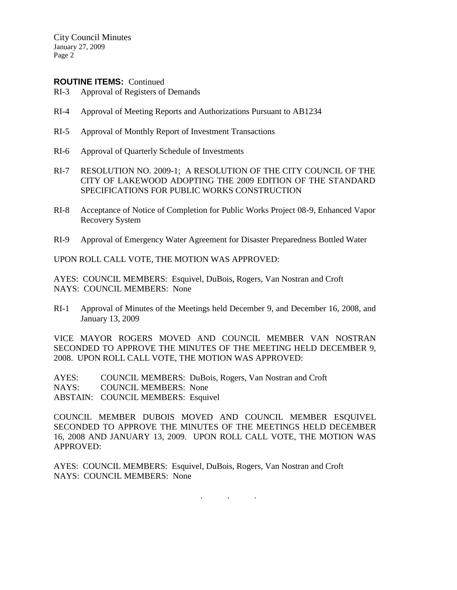City Council Minutes January 27, 2009 Page 2

#### **ROUTINE ITEMS:** Continued

- RI-3 Approval of Registers of Demands
- RI-4 Approval of Meeting Reports and Authorizations Pursuant to AB1234
- RI-5 Approval of Monthly Report of Investment Transactions
- RI-6 Approval of Quarterly Schedule of Investments
- RI-7 RESOLUTION NO. 2009-1; A RESOLUTION OF THE CITY COUNCIL OF THE CITY OF LAKEWOOD ADOPTING THE 2009 EDITION OF THE STANDARD SPECIFICATIONS FOR PUBLIC WORKS CONSTRUCTION
- RI-8 Acceptance of Notice of Completion for Public Works Project 08-9, Enhanced Vapor Recovery System
- RI-9 Approval of Emergency Water Agreement for Disaster Preparedness Bottled Water

UPON ROLL CALL VOTE, THE MOTION WAS APPROVED:

AYES: COUNCIL MEMBERS: Esquivel, DuBois, Rogers, Van Nostran and Croft NAYS: COUNCIL MEMBERS: None

RI-1 Approval of Minutes of the Meetings held December 9, and December 16, 2008, and January 13, 2009

VICE MAYOR ROGERS MOVED AND COUNCIL MEMBER VAN NOSTRAN SECONDED TO APPROVE THE MINUTES OF THE MEETING HELD DECEMBER 9, 2008. UPON ROLL CALL VOTE, THE MOTION WAS APPROVED:

AYES: COUNCIL MEMBERS: DuBois, Rogers, Van Nostran and Croft NAYS: COUNCIL MEMBERS: None ABSTAIN: COUNCIL MEMBERS: Esquivel

COUNCIL MEMBER DUBOIS MOVED AND COUNCIL MEMBER ESQUIVEL SECONDED TO APPROVE THE MINUTES OF THE MEETINGS HELD DECEMBER 16, 2008 AND JANUARY 13, 2009. UPON ROLL CALL VOTE, THE MOTION WAS APPROVED:

AYES: COUNCIL MEMBERS: Esquivel, DuBois, Rogers, Van Nostran and Croft NAYS: COUNCIL MEMBERS: None

. . .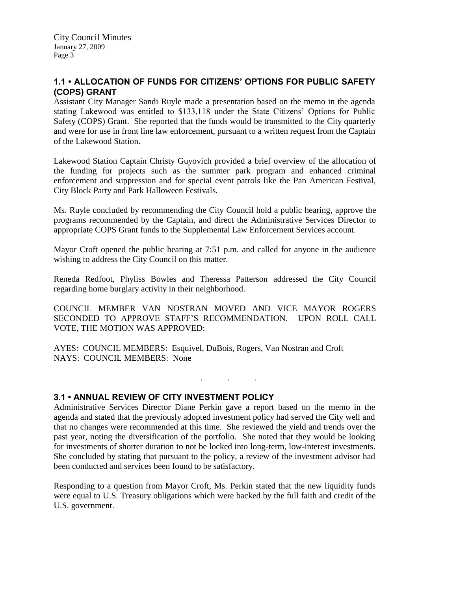# **1.1 • ALLOCATION OF FUNDS FOR CITIZENS' OPTIONS FOR PUBLIC SAFETY (COPS) GRANT**

Assistant City Manager Sandi Ruyle made a presentation based on the memo in the agenda stating Lakewood was entitled to \$133,118 under the State Citizens' Options for Public Safety (COPS) Grant. She reported that the funds would be transmitted to the City quarterly and were for use in front line law enforcement, pursuant to a written request from the Captain of the Lakewood Station.

Lakewood Station Captain Christy Guyovich provided a brief overview of the allocation of the funding for projects such as the summer park program and enhanced criminal enforcement and suppression and for special event patrols like the Pan American Festival, City Block Party and Park Halloween Festivals.

Ms. Ruyle concluded by recommending the City Council hold a public hearing, approve the programs recommended by the Captain, and direct the Administrative Services Director to appropriate COPS Grant funds to the Supplemental Law Enforcement Services account.

Mayor Croft opened the public hearing at 7:51 p.m. and called for anyone in the audience wishing to address the City Council on this matter.

Reneda Redfoot, Phyliss Bowles and Theressa Patterson addressed the City Council regarding home burglary activity in their neighborhood.

COUNCIL MEMBER VAN NOSTRAN MOVED AND VICE MAYOR ROGERS SECONDED TO APPROVE STAFF'S RECOMMENDATION. UPON ROLL CALL VOTE, THE MOTION WAS APPROVED:

AYES: COUNCIL MEMBERS: Esquivel, DuBois, Rogers, Van Nostran and Croft NAYS: COUNCIL MEMBERS: None

. . .

## **3.1 • ANNUAL REVIEW OF CITY INVESTMENT POLICY**

Administrative Services Director Diane Perkin gave a report based on the memo in the agenda and stated that the previously adopted investment policy had served the City well and that no changes were recommended at this time. She reviewed the yield and trends over the past year, noting the diversification of the portfolio. She noted that they would be looking for investments of shorter duration to not be locked into long-term, low-interest investments. She concluded by stating that pursuant to the policy, a review of the investment advisor had been conducted and services been found to be satisfactory.

Responding to a question from Mayor Croft, Ms. Perkin stated that the new liquidity funds were equal to U.S. Treasury obligations which were backed by the full faith and credit of the U.S. government.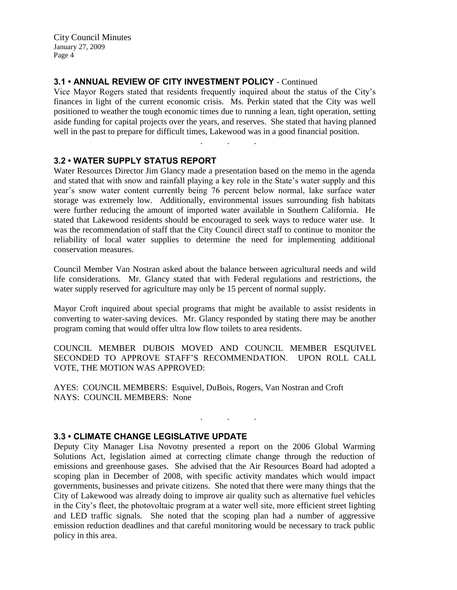City Council Minutes January 27, 2009 Page 4

## **3.1 • ANNUAL REVIEW OF CITY INVESTMENT POLICY** - Continued

Vice Mayor Rogers stated that residents frequently inquired about the status of the City's finances in light of the current economic crisis. Ms. Perkin stated that the City was well positioned to weather the tough economic times due to running a lean, tight operation, setting aside funding for capital projects over the years, and reserves. She stated that having planned well in the past to prepare for difficult times, Lakewood was in a good financial position.

. . .

## **3.2 • WATER SUPPLY STATUS REPORT**

Water Resources Director Jim Glancy made a presentation based on the memo in the agenda and stated that with snow and rainfall playing a key role in the State's water supply and this year's snow water content currently being 76 percent below normal, lake surface water storage was extremely low. Additionally, environmental issues surrounding fish habitats were further reducing the amount of imported water available in Southern California. He stated that Lakewood residents should be encouraged to seek ways to reduce water use. It was the recommendation of staff that the City Council direct staff to continue to monitor the reliability of local water supplies to determine the need for implementing additional conservation measures.

Council Member Van Nostran asked about the balance between agricultural needs and wild life considerations. Mr. Glancy stated that with Federal regulations and restrictions, the water supply reserved for agriculture may only be 15 percent of normal supply.

Mayor Croft inquired about special programs that might be available to assist residents in converting to water-saving devices. Mr. Glancy responded by stating there may be another program coming that would offer ultra low flow toilets to area residents.

COUNCIL MEMBER DUBOIS MOVED AND COUNCIL MEMBER ESQUIVEL SECONDED TO APPROVE STAFF'S RECOMMENDATION. UPON ROLL CALL VOTE, THE MOTION WAS APPROVED:

. . .

AYES: COUNCIL MEMBERS: Esquivel, DuBois, Rogers, Van Nostran and Croft NAYS: COUNCIL MEMBERS: None

## **3.3 • CLIMATE CHANGE LEGISLATIVE UPDATE**

Deputy City Manager Lisa Novotny presented a report on the 2006 Global Warming Solutions Act, legislation aimed at correcting climate change through the reduction of emissions and greenhouse gases. She advised that the Air Resources Board had adopted a scoping plan in December of 2008, with specific activity mandates which would impact governments, businesses and private citizens. She noted that there were many things that the City of Lakewood was already doing to improve air quality such as alternative fuel vehicles in the City's fleet, the photovoltaic program at a water well site, more efficient street lighting and LED traffic signals. She noted that the scoping plan had a number of aggressive emission reduction deadlines and that careful monitoring would be necessary to track public policy in this area.